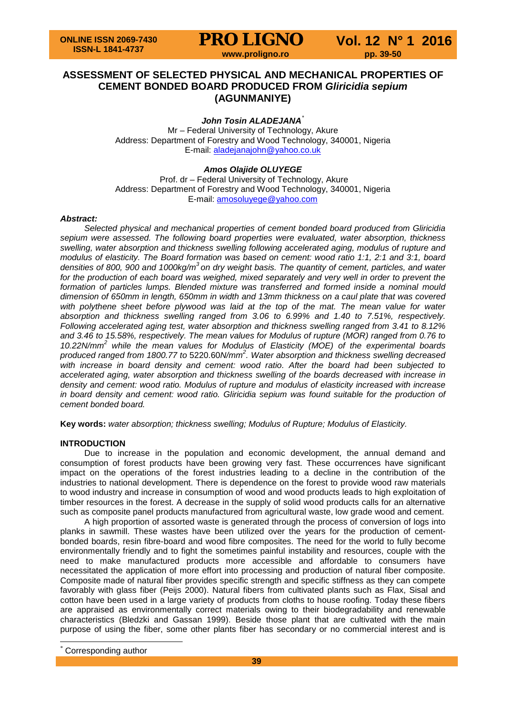# **ASSESSMENT OF SELECTED PHYSICAL AND MECHANICAL PROPERTIES OF CEMENT BONDED BOARD PRODUCED FROM** *Gliricidia sepium* **(AGUNMANIYE)**

# *John Tosin ALADEJANA*[\\*](#page-0-0)

Mr – Federal University of Technology, Akure Address: Department of Forestry and Wood Technology, 340001, Nigeria E-mail: [aladejanajohn@yahoo.co.uk](mailto:aladejanajohn@yahoo.co.uk)

# *Amos Olajide OLUYEGE*

Prof. dr – Federal University of Technology, Akure Address: Department of Forestry and Wood Technology, 340001, Nigeria E-mail: [amosoluyege@yahoo.com](mailto:amosoluyege@yahoo.com)

#### *Abstract:*

*Selected physical and mechanical properties of cement bonded board produced from Gliricidia sepium were assessed. The following board properties were evaluated, water absorption, thickness swelling, water absorption and thickness swelling following accelerated aging, modulus of rupture and modulus of elasticity. The Board formation was based on cement: wood ratio 1:1, 2:1 and 3:1, board densities of 800, 900 and 1000kg/m<sup>3</sup> on dry weight basis. The quantity of cement, particles, and water*  for the production of each board was weighed, mixed separately and very well in order to prevent the *formation of particles lumps. Blended mixture was transferred and formed inside a nominal mould dimension of 650mm in length, 650mm in width and 13mm thickness on a caul plate that was covered*  with polythene sheet before plywood was laid at the top of the mat. The mean value for water *absorption and thickness swelling ranged from 3.06 to 6.99% and 1.40 to 7.51%, respectively. Following accelerated aging test, water absorption and thickness swelling ranged from 3.41 to 8.12% and 3.46 to 15.58%, respectively. The mean values for Modulus of rupture (MOR) ranged from 0.76 to 10.22N/mm<sup>2</sup> while the mean values for Modulus of Elasticity (MOE) of the experimental boards produced ranged from 1800.77 to* 5220.60*N/mm<sup>2</sup> . Water absorption and thickness swelling decreased with increase in board density and cement: wood ratio. After the board had been subjected to accelerated aging, water absorption and thickness swelling of the boards decreased with increase in density and cement: wood ratio. Modulus of rupture and modulus of elasticity increased with increase in board density and cement: wood ratio. Gliricidia sepium was found suitable for the production of cement bonded board.*

**Key words:** *water absorption; thickness swelling; Modulus of Rupture; Modulus of Elasticity.*

# **INTRODUCTION**

Due to increase in the population and economic development, the annual demand and consumption of forest products have been growing very fast. These occurrences have significant impact on the operations of the forest industries leading to a decline in the contribution of the industries to national development. There is dependence on the forest to provide wood raw materials to wood industry and increase in consumption of wood and wood products leads to high exploitation of timber resources in the forest. A decrease in the supply of solid wood products calls for an alternative such as composite panel products manufactured from agricultural waste, low grade wood and cement.

A high proportion of assorted waste is generated through the process of conversion of logs into planks in sawmill. These wastes have been utilized over the years for the production of cementbonded boards, resin fibre-board and wood fibre composites. The need for the world to fully become environmentally friendly and to fight the sometimes painful instability and resources, couple with the need to make manufactured products more accessible and affordable to consumers have necessitated the application of more effort into processing and production of natural fiber composite. Composite made of natural fiber provides specific strength and specific stiffness as they can compete favorably with glass fiber (Peijs 2000). Natural fibers from cultivated plants such as Flax, Sisal and cotton have been used in a large variety of products from cloths to house roofing. Today these fibers are appraised as environmentally correct materials owing to their biodegradability and renewable characteristics (Bledzki and Gassan 1999). Beside those plant that are cultivated with the main purpose of using the fiber, some other plants fiber has secondary or no commercial interest and is

<span id="page-0-0"></span>Corresponding author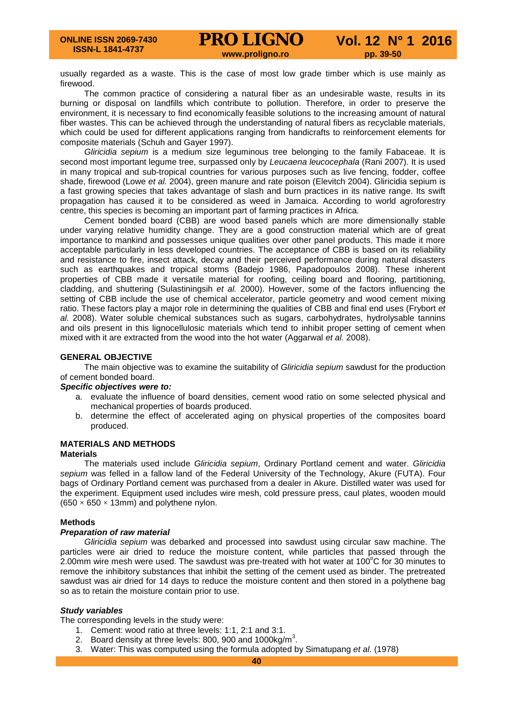usually regarded as a waste. This is the case of most low grade timber which is use mainly as firewood.

The common practice of considering a natural fiber as an undesirable waste, results in its burning or disposal on landfills which contribute to pollution. Therefore, in order to preserve the environment, it is necessary to find economically feasible solutions to the increasing amount of natural fiber wastes. This can be achieved through the understanding of natural fibers as recyclable materials, which could be used for different applications ranging from handicrafts to reinforcement elements for composite materials (Schuh and Gayer 1997).

*Gliricidia sepium* is a medium size leguminous tree belonging to the family Fabaceae. It is second most important legume tree, surpassed only by *Leucaena leucocephala* (Rani 2007)*.* It is used in many tropical and sub-tropical countries for various purposes such as live fencing, fodder, coffee shade, firewood (Lowe *et al.* 2004), green manure and rate poison (Elevitch 2004). Gliricidia sepium is a fast growing species that takes advantage of slash and burn practices in its native range. Its swift propagation has caused it to be considered as weed in Jamaica. According to world agroforestry centre, this species is becoming an important part of farming practices in Africa.

Cement bonded board (CBB) are wood based panels which are more dimensionally stable under varying relative humidity change. They are a good construction material which are of great importance to mankind and possesses unique qualities over other panel products. This made it more acceptable particularly in less developed countries. The acceptance of CBB is based on its reliability and resistance to fire, insect attack, decay and their perceived performance during natural disasters such as earthquakes and tropical storms (Badejo 1986, Papadopoulos 2008). These inherent properties of CBB made it versatile material for roofing, ceiling board and flooring, partitioning, cladding, and shuttering (Sulastiningsih *et al.* 2000). However, some of the factors influencing the setting of CBB include the use of chemical accelerator, particle geometry and wood cement mixing ratio. These factors play a major role in determining the qualities of CBB and final end uses (Frybort *et al.* 2008). Water soluble chemical substances such as sugars, carbohydrates, hydrolysable tannins and oils present in this lignocellulosic materials which tend to inhibit proper setting of cement when mixed with it are extracted from the wood into the hot water (Aggarwal *et al.* 2008).

# **GENERAL OBJECTIVE**

The main objective was to examine the suitability of *Gliricidia sepium* sawdust for the production of cement bonded board.

### *Specific objectives were to:*

- a. evaluate the influence of board densities, cement wood ratio on some selected physical and mechanical properties of boards produced.
- b. determine the effect of accelerated aging on physical properties of the composites board produced.

# **MATERIALS AND METHODS**

# **Materials**

The materials used include *Gliricidia sepium*, Ordinary Portland cement and water. *Gliricidia sepium* was felled in a fallow land of the Federal University of the Technology, Akure (FUTA). Four bags of Ordinary Portland cement was purchased from a dealer in Akure. Distilled water was used for the experiment. Equipment used includes wire mesh, cold pressure press, caul plates, wooden mould  $(650 \times 650 \times 13$ mm) and polythene nylon.

## **Methods**

## *Preparation of raw material*

*Gliricidia sepium* was debarked and processed into sawdust using circular saw machine. The particles were air dried to reduce the moisture content, while particles that passed through the 2.00mm wire mesh were used. The sawdust was pre-treated with hot water at 100 $^{\circ}$ C for 30 minutes to remove the inhibitory substances that inhibit the setting of the cement used as binder. The pretreated sawdust was air dried for 14 days to reduce the moisture content and then stored in a polythene bag so as to retain the moisture contain prior to use.

# *Study variables*

The corresponding levels in the study were:

- 1. Cement: wood ratio at three levels: 1:1, 2:1 and 3:1.
- 2. Board density at three levels: 800, 900 and 1000kg/m<sup>3</sup>.
- 3. Water: This was computed using the formula adopted by Simatupang *et al*. (1978)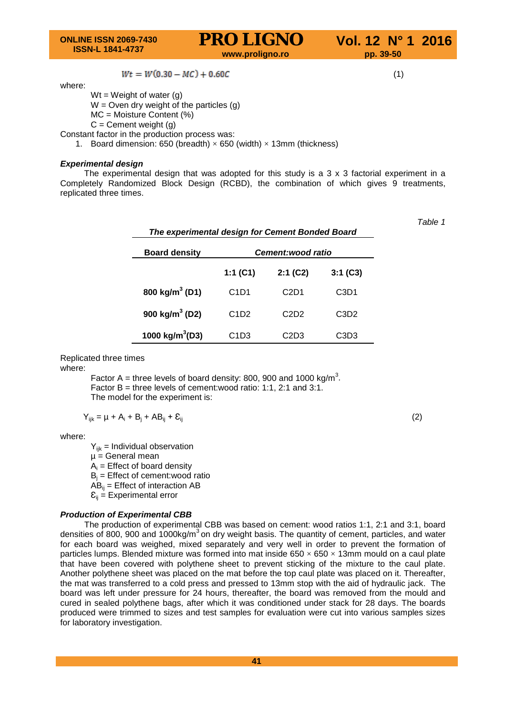$$
Wt = W(0.30-MC) + 0.60C
$$

where:

 $Wt = Weight$  of water (g)  $W =$  Oven dry weight of the particles (g)

MC = Moisture Content (%)

 $C =$  Cement weight  $(g)$ 

Constant factor in the production process was:

1. Board dimension: 650 (breadth)  $\times$  650 (width)  $\times$  13mm (thickness)

# *Experimental design*

The experimental design that was adopted for this study is a  $3 \times 3$  factorial experiment in a Completely Randomized Block Design (RCBD), the combination of which gives 9 treatments, replicated three times.

| The experimental design for Cement Bonded Board |                               |                               |                               |  |  |  |
|-------------------------------------------------|-------------------------------|-------------------------------|-------------------------------|--|--|--|
| <b>Board density</b>                            | <b>Cement:wood ratio</b>      |                               |                               |  |  |  |
|                                                 | 1:1 $(C1)$                    | 2:1(C2)                       | $3:1($ C3 $)$                 |  |  |  |
| 800 kg/m <sup>3</sup> (D1)                      | C <sub>1</sub> D <sub>1</sub> | C <sub>2</sub> D <sub>1</sub> | C3D1                          |  |  |  |
| 900 kg/m <sup>3</sup> (D2)                      | C <sub>1</sub> D <sub>2</sub> | C <sub>2</sub> D <sub>2</sub> | C <sub>3</sub> D <sub>2</sub> |  |  |  |
| 1000 kg/m <sup>3</sup> (D3)                     | C <sub>1</sub> D <sub>3</sub> | C2D3                          | C3D3                          |  |  |  |

Replicated three times

where:

Factor A = three levels of board density: 800, 900 and 1000 kg/m<sup>3</sup>. Factor  $B =$  three levels of cement: wood ratio: 1:1, 2:1 and 3:1. The model for the experiment is:

$$
Y_{ijk} = \mu + A_i + B_j + AB_{ij} + \mathcal{E}_{ij}
$$
 (2)

where:

 $Y_{ijk}$  = Individual observation  $\mu$  = General mean  $A_i$  = Effect of board density  $B_i$  = Effect of cement: wood ratio  $\overline{AB}_{ii}$  = Effect of interaction AB  $\mathcal{E}_{ii}$  = Experimental error

## *Production of Experimental CBB*

The production of experimental CBB was based on cement: wood ratios 1:1, 2:1 and 3:1, board densities of 800, 900 and 1000kg/ $m<sup>3</sup>$  on dry weight basis. The quantity of cement, particles, and water for each board was weighed, mixed separately and very well in order to prevent the formation of particles lumps. Blended mixture was formed into mat inside  $650 \times 650 \times 13$ mm mould on a caul plate that have been covered with polythene sheet to prevent sticking of the mixture to the caul plate. Another polythene sheet was placed on the mat before the top caul plate was placed on it. Thereafter, the mat was transferred to a cold press and pressed to 13mm stop with the aid of hydraulic jack. The board was left under pressure for 24 hours, thereafter, the board was removed from the mould and cured in sealed polythene bags, after which it was conditioned under stack for 28 days. The boards produced were trimmed to sizes and test samples for evaluation were cut into various samples sizes for laboratory investigation.

**41**

 $(1)$ 

*Table 1*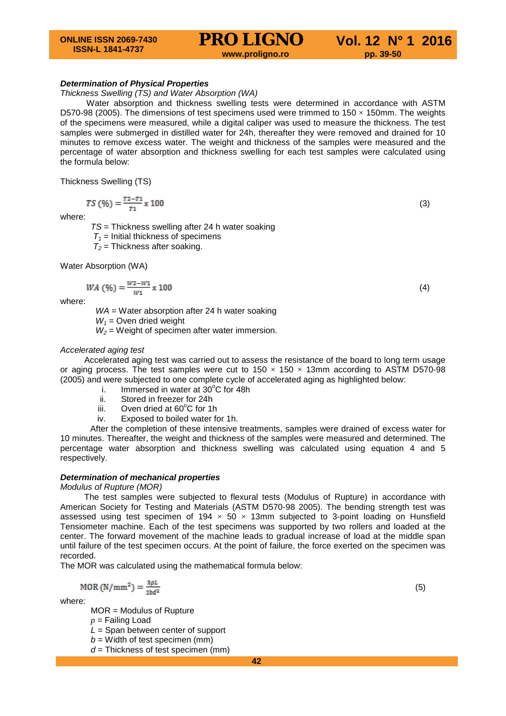#### *Determination of Physical Properties*

#### *Thickness Swelling (TS) and Water Absorption (WA)*

Water absorption and thickness swelling tests were determined in accordance with ASTM D570-98 (2005). The dimensions of test specimens used were trimmed to  $150 \times 150$ mm. The weights of the specimens were measured, while a digital caliper was used to measure the thickness. The test samples were submerged in distilled water for 24h, thereafter they were removed and drained for 10 minutes to remove excess water. The weight and thickness of the samples were measured and the percentage of water absorption and thickness swelling for each test samples were calculated using the formula below:

Thickness Swelling (TS)

$$
TS\left(\frac{9}{6}\right) = \frac{72 - 71}{71} \times 100\tag{3}
$$

where:

*TS* = Thickness swelling after 24 h water soaking

 $T_1$  = Initial thickness of specimens

 $T_2$  = Thickness after soaking.

Water Absorption (WA)

$$
WA\ (\%) = \frac{W^2 - W^1}{W^1} \times 100\tag{4}
$$

where:

*WA* = Water absorption after 24 h water soaking

 $W_1$  = Oven dried weight

 $W_2$  = Weight of specimen after water immersion.

#### *Accelerated aging test*

Accelerated aging test was carried out to assess the resistance of the board to long term usage or aging process. The test samples were cut to  $150 \times 150 \times 13$ mm according to ASTM D570-98 (2005) and were subjected to one complete cycle of accelerated aging as highlighted below:

- i. Immersed in water at  $30^{\circ}$ C for 48h
- ii. Stored in freezer for 24h<br>iii. Oven dried at  $60^{\circ}$ C for 1
- iii. Oven dried at 60°C for 1h
- iv. Exposed to boiled water for 1h.

After the completion of these intensive treatments, samples were drained of excess water for 10 minutes. Thereafter, the weight and thickness of the samples were measured and determined. The percentage water absorption and thickness swelling was calculated using equation 4 and 5 respectively.

#### *Determination of mechanical properties*

#### *Modulus of Rupture (MOR)*

The test samples were subjected to flexural tests (Modulus of Rupture) in accordance with American Society for Testing and Materials (ASTM D570-98 2005). The bending strength test was assessed using test specimen of 194  $\times$  50  $\times$  13mm subjected to 3-point loading on Hunsfield Tensiometer machine. Each of the test specimens was supported by two rollers and loaded at the center. The forward movement of the machine leads to gradual increase of load at the middle span until failure of the test specimen occurs. At the point of failure, the force exerted on the specimen was recorded.

The MOR was calculated using the mathematical formula below:

$$
MOR(N/mm^2) = \frac{3\rho L}{2bd^2}
$$

where:

MOR = Modulus of Rupture *p* = Failing Load

*L* = Span between center of support

 $b =$  Width of test specimen (mm)

*d* = Thickness of test specimen (mm)

where the contract of  $(5)$ 

**42**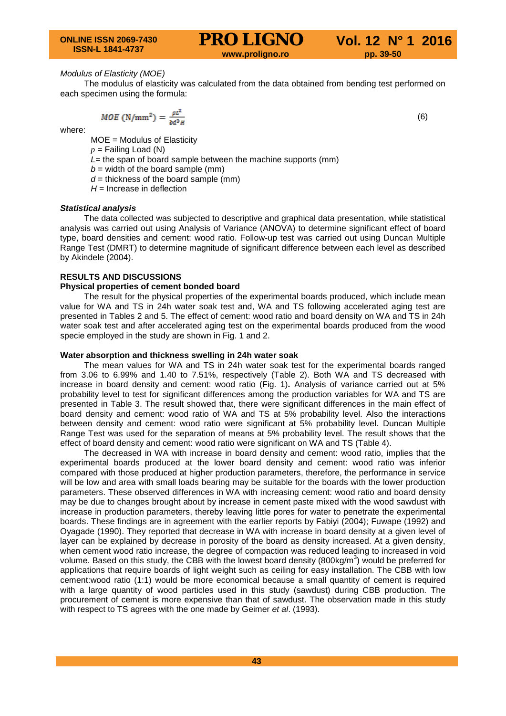## *Modulus of Elasticity (MOE)*

The modulus of elasticity was calculated from the data obtained from bending test performed on each specimen using the formula:

$$
MOE\left(N/mm^2\right) = \frac{\rho L^2}{M^2 m} \tag{6}
$$

where:

MOE = Modulus of Elasticity

 $p =$  Failing Load (N)

- *L*= the span of board sample between the machine supports (mm)
- $b =$  width of the board sample (mm)
- $d =$  thickness of the board sample (mm)
- $H =$  Increase in deflection

#### *Statistical analysis*

The data collected was subjected to descriptive and graphical data presentation, while statistical analysis was carried out using Analysis of Variance (ANOVA) to determine significant effect of board type, board densities and cement: wood ratio. Follow-up test was carried out using Duncan Multiple Range Test (DMRT) to determine magnitude of significant difference between each level as described by Akindele (2004).

#### **RESULTS AND DISCUSSIONS**

#### **Physical properties of cement bonded board**

The result for the physical properties of the experimental boards produced, which include mean value for WA and TS in 24h water soak test and, WA and TS following accelerated aging test are presented in Tables 2 and 5. The effect of cement: wood ratio and board density on WA and TS in 24h water soak test and after accelerated aging test on the experimental boards produced from the wood specie employed in the study are shown in Fig. 1 and 2.

#### **Water absorption and thickness swelling in 24h water soak**

The mean values for WA and TS in 24h water soak test for the experimental boards ranged from 3.06 to 6.99% and 1.40 to 7.51%, respectively (Table 2). Both WA and TS decreased with increase in board density and cement: wood ratio (Fig. 1)**.** Analysis of variance carried out at 5% probability level to test for significant differences among the production variables for WA and TS are presented in Table 3. The result showed that, there were significant differences in the main effect of board density and cement: wood ratio of WA and TS at 5% probability level. Also the interactions between density and cement: wood ratio were significant at 5% probability level. Duncan Multiple Range Test was used for the separation of means at 5% probability level. The result shows that the effect of board density and cement: wood ratio were significant on WA and TS (Table 4).

The decreased in WA with increase in board density and cement: wood ratio, implies that the experimental boards produced at the lower board density and cement: wood ratio was inferior compared with those produced at higher production parameters, therefore, the performance in service will be low and area with small loads bearing may be suitable for the boards with the lower production parameters. These observed differences in WA with increasing cement: wood ratio and board density may be due to changes brought about by increase in cement paste mixed with the wood sawdust with increase in production parameters, thereby leaving little pores for water to penetrate the experimental boards. These findings are in agreement with the earlier reports by Fabiyi (2004); Fuwape (1992) and Oyagade (1990). They reported that decrease in WA with increase in board density at a given level of layer can be explained by decrease in porosity of the board as density increased. At a given density, when cement wood ratio increase, the degree of compaction was reduced leading to increased in void volume. Based on this study, the CBB with the lowest board density (800kg/m<sup>3</sup>) would be preferred for applications that require boards of light weight such as ceiling for easy installation. The CBB with low cement:wood ratio (1:1) would be more economical because a small quantity of cement is required with a large quantity of wood particles used in this study (sawdust) during CBB production. The procurement of cement is more expensive than that of sawdust. The observation made in this study with respect to TS agrees with the one made by Geimer *et al*. (1993).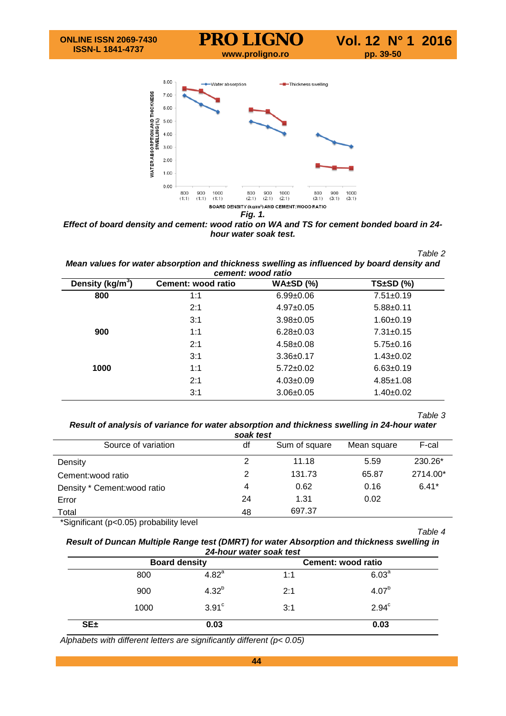



*Effect of board density and cement: wood ratio on WA and TS for cement bonded board in 24 hour water soak test.*

*Table 2*

*Mean values for water absorption and thickness swelling as influenced by board density and cement: wood ratio*

| Density (kg/m <sup>3</sup> ) | Cement: wood ratio | $WA±SD$ (%)     | $TS±SD$ (%)     |
|------------------------------|--------------------|-----------------|-----------------|
| 800                          | 1:1                | $6.99 \pm 0.06$ | $7.51 \pm 0.19$ |
|                              | 2:1                | $4.97 \pm 0.05$ | $5.88 + 0.11$   |
|                              | 3:1                | $3.98 \pm 0.05$ | $1.60 + 0.19$   |
| 900                          | 1:1                | $6.28 \pm 0.03$ | $7.31 \pm 0.15$ |
|                              | 2:1                | $4.58 \pm 0.08$ | $5.75 \pm 0.16$ |
|                              | 3:1                | $3.36 \pm 0.17$ | $1.43 \pm 0.02$ |
| 1000                         | 1:1                | $5.72 \pm 0.02$ | $6.63 \pm 0.19$ |
|                              | 2:1                | $4.03 \pm 0.09$ | $4.85 \pm 1.08$ |
|                              | 3:1                | $3.06 \pm 0.05$ | $1.40 \pm 0.02$ |

#### *Table 3*

*Result of analysis of variance for water absorption and thickness swelling in 24-hour water soak test*

| df | Sum of square | Mean square | F-cal    |
|----|---------------|-------------|----------|
| 2  | 11.18         | 5.59        | 230.26*  |
| 2  | 131.73        | 65.87       | 2714.00* |
| 4  | 0.62          | 0.16        | $6.41*$  |
| 24 | 1.31          | 0.02        |          |
| 48 | 697.37        |             |          |
|    |               | suan lest   |          |

\*Significant (p<0.05) probability level

*Table 4*

*Result of Duncan Multiple Range test (DMRT) for water Absorption and thickness swelling in 24-hour water soak test*

|            | <b>Board density</b> |                   |     | Cement: wood ratio |
|------------|----------------------|-------------------|-----|--------------------|
|            | 800                  | 4.82 <sup>a</sup> | 1:1 | 6.03 <sup>a</sup>  |
|            | 900                  | $4.32^{b}$        | 2:1 | $4.07^{b}$         |
|            | 1000                 | 3.91 <sup>c</sup> | 3:1 | $2.94^c$           |
| $SE_{\pm}$ |                      | 0.03              |     | 0.03               |

*Alphabets with different letters are significantly different (p< 0.05)*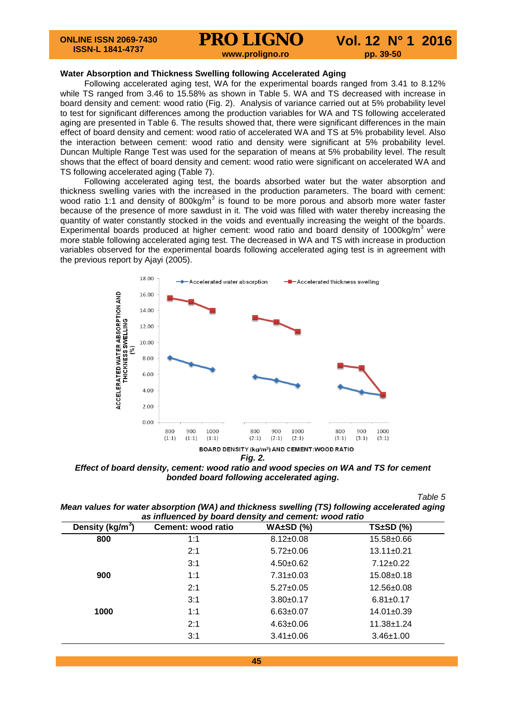#### **Water Absorption and Thickness Swelling following Accelerated Aging**

Following accelerated aging test, WA for the experimental boards ranged from 3.41 to 8.12% while TS ranged from 3.46 to 15.58% as shown in Table 5. WA and TS decreased with increase in board density and cement: wood ratio (Fig. 2). Analysis of variance carried out at 5% probability level to test for significant differences among the production variables for WA and TS following accelerated aging are presented in Table 6. The results showed that, there were significant differences in the main effect of board density and cement: wood ratio of accelerated WA and TS at 5% probability level. Also the interaction between cement: wood ratio and density were significant at 5% probability level. Duncan Multiple Range Test was used for the separation of means at 5% probability level. The result shows that the effect of board density and cement: wood ratio were significant on accelerated WA and TS following accelerated aging (Table 7).

Following accelerated aging test, the boards absorbed water but the water absorption and thickness swelling varies with the increased in the production parameters. The board with cement: wood ratio 1:1 and density of 800kg/ $m<sup>3</sup>$  is found to be more porous and absorb more water faster because of the presence of more sawdust in it. The void was filled with water thereby increasing the quantity of water constantly stocked in the voids and eventually increasing the weight of the boards. Experimental boards produced at higher cement: wood ratio and board density of 1000kg/m<sup>3</sup> were more stable following accelerated aging test. The decreased in WA and TS with increase in production variables observed for the experimental boards following accelerated aging test is in agreement with the previous report by Ajayi (2005).



*Fig. 2.*

*Effect of board density, cement: wood ratio and wood species on WA and TS for cement bonded board following accelerated aging.*

*Table 5*

*Mean values for water absorption (WA) and thickness swelling (TS) following accelerated aging as influenced by board density and cement: wood ratio*

| Density (kg/m <sup>3</sup> ) | Cement: wood ratio | $WA±SD$ (%)     | $TS±SD$ (%)      |
|------------------------------|--------------------|-----------------|------------------|
| 800                          | 1:1                | $8.12 \pm 0.08$ | $15.58 \pm 0.66$ |
|                              | 2:1                | $5.72 \pm 0.06$ | $13.11 \pm 0.21$ |
|                              | 3:1                | $4.50+0.62$     | $7.12 \pm 0.22$  |
| 900                          | 1:1                | $7.31 \pm 0.03$ | $15.08 \pm 0.18$ |
|                              | 2:1                | $5.27 \pm 0.05$ | $12.56 \pm 0.08$ |
|                              | 3:1                | $3.80 + 0.17$   | $6.81 \pm 0.17$  |
| 1000                         | 1:1                | $6.63 \pm 0.07$ | $14.01 \pm 0.39$ |
|                              | 2:1                | $4.63 \pm 0.06$ | $11.38 \pm 1.24$ |
|                              | 3:1                | $3.41 \pm 0.06$ | $3.46 \pm 1.00$  |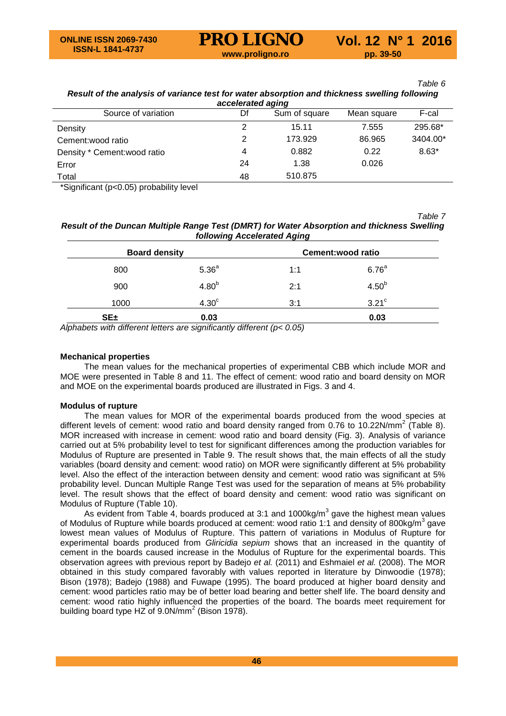#### *Table 6 Result of the analysis of variance test for water absorption and thickness swelling following accelerated aging*

| accelcialcu agiliy           |    |               |             |          |  |  |  |
|------------------------------|----|---------------|-------------|----------|--|--|--|
| Source of variation          | Df | Sum of square | Mean square | F-cal    |  |  |  |
| Density                      |    | 15.11         | 7.555       | 295.68*  |  |  |  |
| Cement: wood ratio           |    | 173.929       | 86.965      | 3404.00* |  |  |  |
| Density * Cement: wood ratio | 4  | 0.882         | 0.22        | $8.63*$  |  |  |  |
| Error                        | 24 | 1.38          | 0.026       |          |  |  |  |
| Total                        | 48 | 510.875       |             |          |  |  |  |

\*Significant (p<0.05) probability level

*Table 7*

# *Result of the Duncan Multiple Range Test (DMRT) for Water Absorption and thickness Swelling following Accelerated Aging*

| <b>Board density</b> |                   |     | Cement: wood ratio  |
|----------------------|-------------------|-----|---------------------|
| 800                  | 5.36 <sup>a</sup> | 1:1 | 6.76 <sup>a</sup>   |
| 900                  | 4.80 <sup>b</sup> | 2:1 | $4.50^{b}$          |
| 1000                 | 4.30 <sup>c</sup> | 3:1 | $3.21$ <sup>c</sup> |
| $SE_{\pm}$           | 0.03              |     | 0.03                |

*Alphabets with different letters are significantly different (p< 0.05)*

# **Mechanical properties**

The mean values for the mechanical properties of experimental CBB which include MOR and MOE were presented in Table 8 and 11. The effect of cement: wood ratio and board density on MOR and MOE on the experimental boards produced are illustrated in Figs. 3 and 4.

# **Modulus of rupture**

The mean values for MOR of the experimental boards produced from the wood species at different levels of cement: wood ratio and board density ranged from 0.76 to 10.22N/mm<sup>2</sup> (Table 8). MOR increased with increase in cement: wood ratio and board density (Fig. 3). Analysis of variance carried out at 5% probability level to test for significant differences among the production variables for Modulus of Rupture are presented in Table 9. The result shows that, the main effects of all the study variables (board density and cement: wood ratio) on MOR were significantly different at 5% probability level. Also the effect of the interaction between density and cement: wood ratio was significant at 5% probability level. Duncan Multiple Range Test was used for the separation of means at 5% probability level. The result shows that the effect of board density and cement: wood ratio was significant on Modulus of Rupture (Table 10).

As evident from Table 4, boards produced at 3:1 and 1000kg/m<sup>3</sup> gave the highest mean values of Modulus of Rupture while boards produced at cement: wood ratio 1:1 and density of 800kg/m<sup>3</sup> gave lowest mean values of Modulus of Rupture. This pattern of variations in Modulus of Rupture for experimental boards produced from *Gliricidia sepium* shows that an increased in the quantity of cement in the boards caused increase in the Modulus of Rupture for the experimental boards. This observation agrees with previous report by Badejo *et al.* (2011) and Eshmaiel *et al.* (2008). The MOR obtained in this study compared favorably with values reported in literature by Dinwoodie (1978); Bison (1978); Badejo (1988) and Fuwape (1995). The board produced at higher board density and cement: wood particles ratio may be of better load bearing and better shelf life. The board density and cement: wood ratio highly influenced the properties of the board. The boards meet requirement for building board type HZ of  $9.0N/mm^2$  (Bison 1978).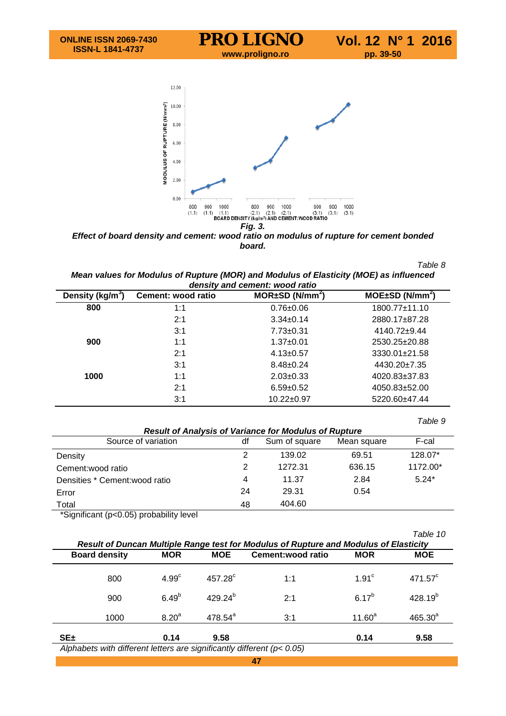



| Table 8                                                                                |  |
|----------------------------------------------------------------------------------------|--|
| Mean values for Modulus of Rupture (MOR) and Modulus of Elasticity (MOE) as influenced |  |
| density and cement: wood ratio                                                         |  |

| Density (kg/m <sup>3</sup> ) | Cement: wood ratio | $MOR \pm SD (N/mm2)$ | $MOE \pm SD(N/mm^2)$ |
|------------------------------|--------------------|----------------------|----------------------|
| 800                          | 1:1                | $0.76 \pm 0.06$      | 1800.77±11.10        |
|                              | 2:1                | $3.34 \pm 0.14$      | 2880.17±87.28        |
|                              | 3:1                | $7.73 \pm 0.31$      | 4140.72±9.44         |
| 900                          | 1:1                | $1.37 + 0.01$        | 2530.25±20.88        |
|                              | 2:1                | $4.13 \pm 0.57$      | 3330.01±21.58        |
|                              | 3:1                | $8.48 \pm 0.24$      | $4430.20 \pm 7.35$   |
| 1000                         | 1:1                | $2.03 \pm 0.33$      | 4020.83±37.83        |
|                              | 2:1                | $6.59 + 0.52$        | $4050.83 \pm 52.00$  |
|                              | 3:1                | $10.22 \pm 0.97$     | 5220.60±47.44        |

|                                |    |                                                              |             | Table 9  |
|--------------------------------|----|--------------------------------------------------------------|-------------|----------|
|                                |    | <b>Result of Analysis of Variance for Modulus of Rupture</b> |             |          |
| Source of variation            | df | Sum of square                                                | Mean square | F-cal    |
| Density                        | 2  | 139.02                                                       | 69.51       | 128.07*  |
| Cement: wood ratio             | 2  | 1272.31                                                      | 636.15      | 1172.00* |
| Densities * Cement: wood ratio | 4  | 11.37                                                        | 2.84        | $5.24*$  |
| Error                          | 24 | 29.31                                                        | 0.54        |          |
| Total                          | 48 | 404.60                                                       |             |          |

\*Significant (p<0.05) probability level

| Table 10<br>Result of Duncan Multiple Range test for Modulus of Rupture and Modulus of Elasticity |                   |                  |                    |                |                  |  |  |  |
|---------------------------------------------------------------------------------------------------|-------------------|------------------|--------------------|----------------|------------------|--|--|--|
| <b>Board density</b>                                                                              | <b>MOR</b>        | <b>MOE</b>       | Cement: wood ratio | <b>MOR</b>     | <b>MOE</b>       |  |  |  |
| 800                                                                                               | 4.99 <sup>c</sup> | $457.28^{\circ}$ | 1:1                | $1.91^{\circ}$ | $471.57^{\circ}$ |  |  |  |
| 900                                                                                               | 6.49 <sup>b</sup> | $429.24^{b}$     | 2:1                | $6.17^{b}$     | $428.19^{b}$     |  |  |  |
| 1000                                                                                              | $8.20^{a}$        | $478.54^{a}$     | 3:1                | $11.60^a$      | $465.30^{a}$     |  |  |  |
| $SE_{\pm}$                                                                                        | 0.14              | 9.58             |                    | 0.14           | 9.58             |  |  |  |
| Alphabets with different letters are significantly different (p< 0.05)                            |                   |                  |                    |                |                  |  |  |  |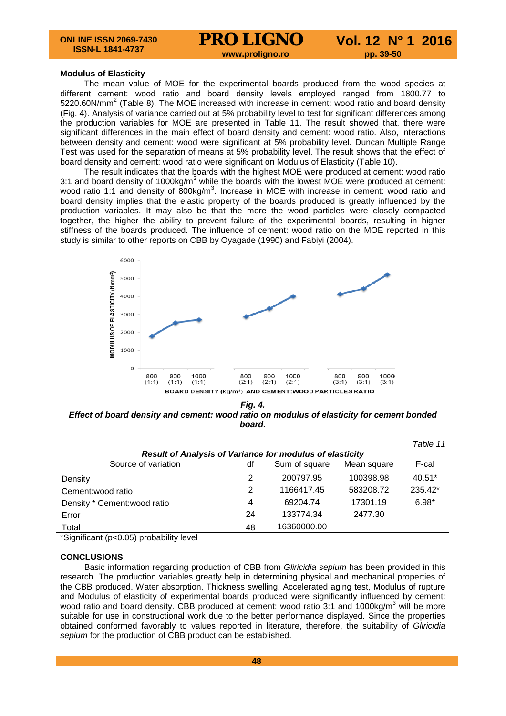*Table 11*

#### **Modulus of Elasticity**

The mean value of MOE for the experimental boards produced from the wood species at different cement: wood ratio and board density levels employed ranged from 1800.77 to  $5220.60$ N/mm<sup>2</sup> (Table 8). The MOE increased with increase in cement: wood ratio and board density (Fig. 4). Analysis of variance carried out at 5% probability level to test for significant differences among the production variables for MOE are presented in Table 11. The result showed that, there were significant differences in the main effect of board density and cement: wood ratio. Also, interactions between density and cement: wood were significant at 5% probability level. Duncan Multiple Range Test was used for the separation of means at 5% probability level. The result shows that the effect of board density and cement: wood ratio were significant on Modulus of Elasticity (Table 10).

The result indicates that the boards with the highest MOE were produced at cement: wood ratio 3:1 and board density of 1000kg/ $m<sup>3</sup>$  while the boards with the lowest MOE were produced at cement: wood ratio 1:1 and density of  $800$ kg/m<sup>3</sup>. Increase in MOE with increase in cement: wood ratio and board density implies that the elastic property of the boards produced is greatly influenced by the production variables. It may also be that the more the wood particles were closely compacted together, the higher the ability to prevent failure of the experimental boards, resulting in higher stiffness of the boards produced. The influence of cement: wood ratio on the MOE reported in this study is similar to other reports on CBB by Oyagade (1990) and Fabiyi (2004).



*Fig. 4. Effect of board density and cement: wood ratio on modulus of elasticity for cement bonded board.*

|                                                                 |    |               |             | , <i>uwi<del>c</del></i> 11 |  |  |  |
|-----------------------------------------------------------------|----|---------------|-------------|-----------------------------|--|--|--|
| <b>Result of Analysis of Variance for modulus of elasticity</b> |    |               |             |                             |  |  |  |
| Source of variation                                             | df | Sum of square | Mean square | F-cal                       |  |  |  |
| Density                                                         | 2  | 200797.95     | 100398.98   | $40.51*$                    |  |  |  |
| Cement: wood ratio                                              | 2  | 1166417.45    | 583208.72   | 235.42*                     |  |  |  |
| Density * Cement: wood ratio                                    | 4  | 69204.74      | 17301.19    | $6.98*$                     |  |  |  |
| Error                                                           | 24 | 133774.34     | 2477.30     |                             |  |  |  |
| Total                                                           | 48 | 16360000.00   |             |                             |  |  |  |
|                                                                 |    |               |             |                             |  |  |  |

\*Significant (p<0.05) probability level

## **CONCLUSIONS**

Basic information regarding production of CBB from *Gliricidia sepium* has been provided in this research. The production variables greatly help in determining physical and mechanical properties of the CBB produced. Water absorption, Thickness swelling, Accelerated aging test, Modulus of rupture and Modulus of elasticity of experimental boards produced were significantly influenced by cement: wood ratio and board density. CBB produced at cement: wood ratio 3:1 and 1000kg/m<sup>3</sup> will be more suitable for use in constructional work due to the better performance displayed. Since the properties obtained conformed favorably to values reported in literature, therefore, the suitability of *Gliricidia sepium* for the production of CBB product can be established.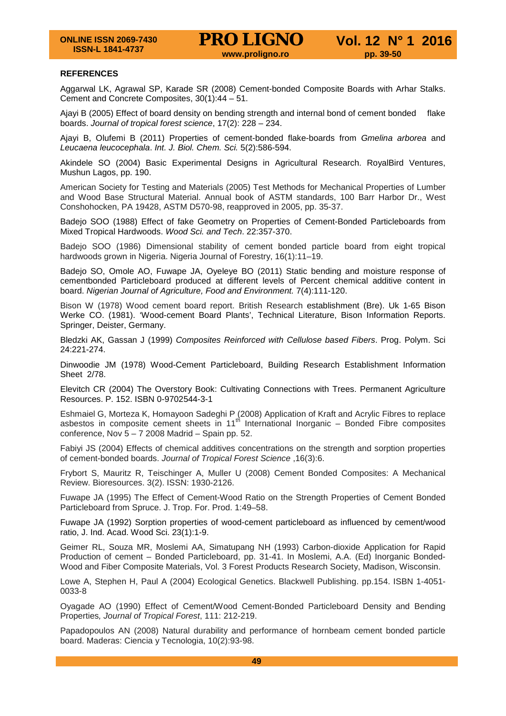#### **REFERENCES**

Aggarwal LK, Agrawal SP, Karade SR (2008) Cement-bonded Composite Boards with Arhar Stalks. Cement and Concrete Composites, 30(1):44 – 51.

Ajayi B (2005) Effect of board density on bending strength and internal bond of cement bonded flake boards. *Journal of tropical forest science*, 17(2): 228 – 234.

Ajayi B, Olufemi B (2011) Properties of cement-bonded flake-boards from *Gmelina arborea* and *Leucaena leucocephala*. *Int. J. Biol. Chem. Sci.* 5(2):586-594.

Akindele SO (2004) Basic Experimental Designs in Agricultural Research. RoyalBird Ventures, Mushun Lagos, pp. 190.

American Society for Testing and Materials (2005) Test Methods for Mechanical Properties of Lumber and Wood Base Structural Material. Annual book of ASTM standards, 100 Barr Harbor Dr., West Conshohocken, PA 19428, ASTM D570-98, reapproved in 2005, pp. 35-37.

Badejo SOO (1988) Effect of fake Geometry on Properties of Cement-Bonded Particleboards from Mixed Tropical Hardwoods. *Wood Sci. and Tech*. 22:357-370.

Badejo SOO (1986) Dimensional stability of cement bonded particle board from eight tropical hardwoods grown in Nigeria. Nigeria Journal of Forestry, 16(1):11-19.

Badejo SO, Omole AO, Fuwape JA, Oyeleye BO (2011) Static bending and moisture response of cementbonded Particleboard produced at different levels of Percent chemical additive content in board. *Nigerian Journal of Agriculture, Food and Environment.* 7(4):111-120.

Bison W (1978) Wood cement board report. British Research establishment (Bre). Uk 1-65 Bison Werke CO. (1981). 'Wood-cement Board Plants', Technical Literature, Bison Information Reports. Springer, Deister, Germany.

Bledzki AK, Gassan J (1999) *Composites Reinforced with Cellulose based Fibers*. Prog. Polym. Sci 24:221-274.

Dinwoodie JM (1978) Wood-Cement Particleboard, Building Research Establishment Information Sheet 2/78.

Elevitch CR (2004) The Overstory Book: Cultivating Connections with Trees. Permanent Agriculture Resources. P. 152. ISBN 0-9702544-3-1

Eshmaiel G, Morteza K, Homayoon Sadeghi P (2008) Application of Kraft and Acrylic Fibres to replace asbestos in composite cement sheets in 11<sup>th</sup> International Inorganic – Bonded Fibre composites conference, Nov  $5 - 7$  2008 Madrid – Spain pp. 52.

Fabiyi JS (2004) Effects of chemical additives concentrations on the strength and sorption properties of cement-bonded boards. *Journal of Tropical Forest Science* ,16(3):6.

Frybort S, Mauritz R, Teischinger A, Muller U (2008) Cement Bonded Composites: A Mechanical Review. Bioresources. 3(2). ISSN: 1930-2126.

Fuwape JA (1995) The Effect of Cement-Wood Ratio on the Strength Properties of Cement Bonded Particleboard from Spruce. J. Trop. For. Prod. 1:49–58.

Fuwape JA (1992) Sorption properties of wood-cement particleboard as influenced by cement/wood ratio, J. Ind. Acad. Wood Sci. 23(1):1-9.

Geimer RL, Souza MR, Moslemi AA, Simatupang NH (1993) Carbon-dioxide Application for Rapid Production of cement – Bonded Particleboard, pp. 31-41. In Moslemi, A.A. (Ed) Inorganic Bonded-Wood and Fiber Composite Materials, Vol. 3 Forest Products Research Society, Madison, Wisconsin.

Lowe A, Stephen H, Paul A (2004) Ecological Genetics. Blackwell Publishing. pp.154. ISBN 1-4051- 0033-8

Oyagade AO (1990) Effect of Cement/Wood Cement-Bonded Particleboard Density and Bending Properties*, Journal of Tropical Forest*, 111: 212-219.

Papadopoulos AN (2008) Natural durability and performance of hornbeam cement bonded particle board. Maderas: Ciencia y Tecnologia, 10(2):93-98.